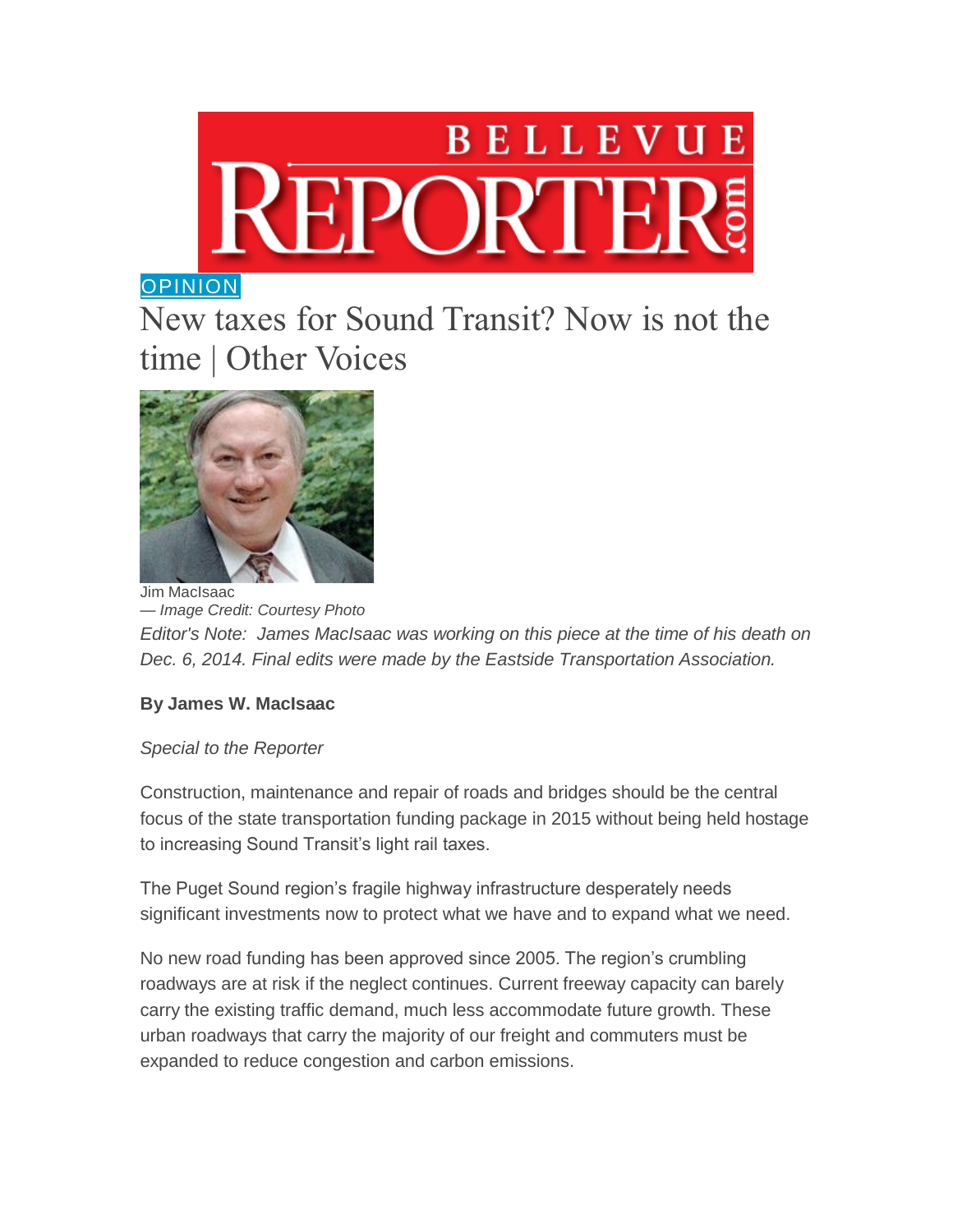

## **[OPINION](http://www.bellevuereporter.com/opinion/)**

## New taxes for Sound Transit? Now is not the time | Other Voices



*— Image Credit: Courtesy Photo Editor's Note: James MacIsaac was working on this piece at the time of his death on Dec. 6, 2014. Final edits were made by the Eastside Transportation Association.*

## **By James W. MacIsaac**

## *Special to the Reporter*

Construction, maintenance and repair of roads and bridges should be the central focus of the state transportation funding package in 2015 without being held hostage to increasing Sound Transit's light rail taxes.

The Puget Sound region's fragile highway infrastructure desperately needs significant investments now to protect what we have and to expand what we need.

No new road funding has been approved since 2005. The region's crumbling roadways are at risk if the neglect continues. Current freeway capacity can barely carry the existing traffic demand, much less accommodate future growth. These urban roadways that carry the majority of our freight and commuters must be expanded to reduce congestion and carbon emissions.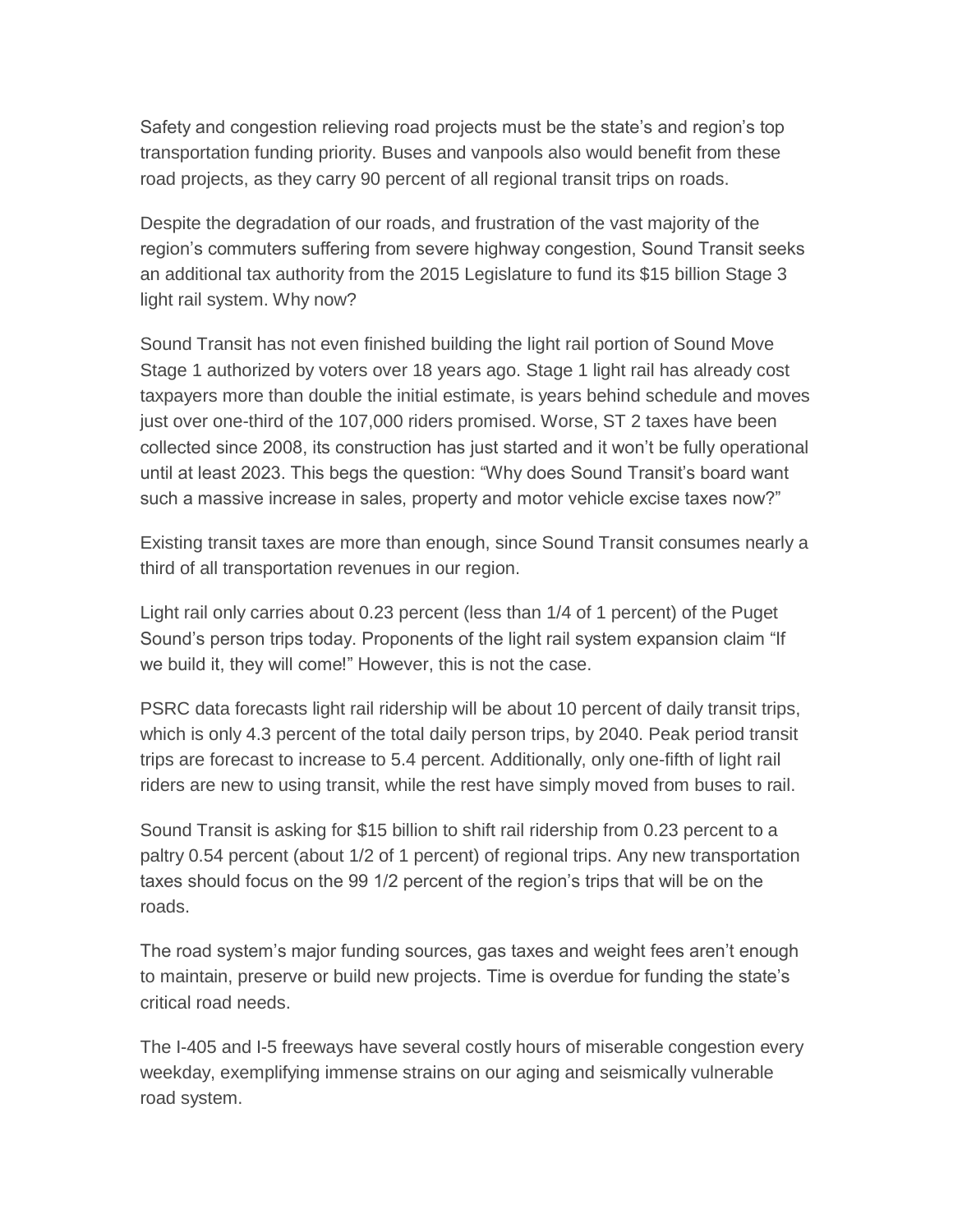Safety and congestion relieving road projects must be the state's and region's top transportation funding priority. Buses and vanpools also would benefit from these road projects, as they carry 90 percent of all regional transit trips on roads.

Despite the degradation of our roads, and frustration of the vast majority of the region's commuters suffering from severe highway congestion, Sound Transit seeks an additional tax authority from the 2015 Legislature to fund its \$15 billion Stage 3 light rail system. Why now?

Sound Transit has not even finished building the light rail portion of Sound Move Stage 1 authorized by voters over 18 years ago. Stage 1 light rail has already cost taxpayers more than double the initial estimate, is years behind schedule and moves just over one-third of the 107,000 riders promised. Worse, ST 2 taxes have been collected since 2008, its construction has just started and it won't be fully operational until at least 2023. This begs the question: "Why does Sound Transit's board want such a massive increase in sales, property and motor vehicle excise taxes now?"

Existing transit taxes are more than enough, since Sound Transit consumes nearly a third of all transportation revenues in our region.

Light rail only carries about 0.23 percent (less than 1/4 of 1 percent) of the Puget Sound's person trips today. Proponents of the light rail system expansion claim "If we build it, they will come!" However, this is not the case.

PSRC data forecasts light rail ridership will be about 10 percent of daily transit trips, which is only 4.3 percent of the total daily person trips, by 2040. Peak period transit trips are forecast to increase to 5.4 percent. Additionally, only one-fifth of light rail riders are new to using transit, while the rest have simply moved from buses to rail.

Sound Transit is asking for \$15 billion to shift rail ridership from 0.23 percent to a paltry 0.54 percent (about 1/2 of 1 percent) of regional trips. Any new transportation taxes should focus on the 99 1/2 percent of the region's trips that will be on the roads.

The road system's major funding sources, gas taxes and weight fees aren't enough to maintain, preserve or build new projects. Time is overdue for funding the state's critical road needs.

The I-405 and I-5 freeways have several costly hours of miserable congestion every weekday, exemplifying immense strains on our aging and seismically vulnerable road system.